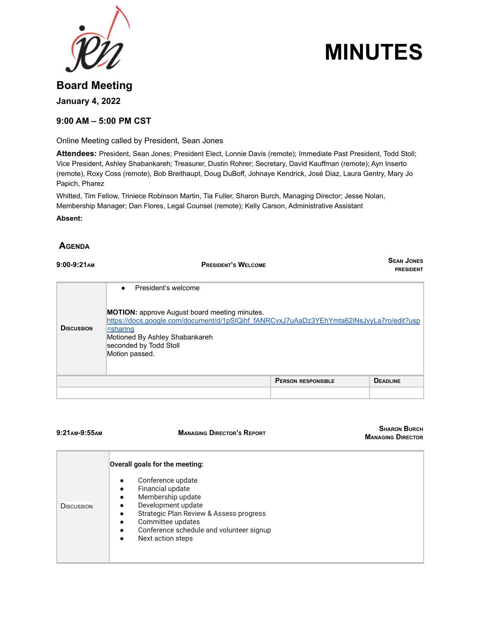



# **Board Meeting January 4, 2022**

### **9:00 AM – 5:00 PM CST**

Online Meeting called by President, Sean Jones

**Attendees:** President, Sean Jones; President Elect, Lonnie Davis (remote); Immediate Past President, Todd Stoll; Vice President, Ashley Shabankareh; Treasurer, Dustin Rohrer; Secretary, David Kauffman (remote); Ayn Inserto (remote), Roxy Coss (remote), Bob Breithaupt, Doug DuBoff, Johnaye Kendrick, José Diaz, Laura Gentry, Mary Jo Papich, Pharez

Whitted, Tim Fellow, Triniece Robinson Martin, Tia Fuller, Sharon Burch, Managing Director; Jesse Nolan, Membership Manager; Dan Flores, Legal Counsel (remote); Kelly Carson, Administrative Assistant

**Absent:**

### **AGENDA**

| $9:00-9:21$ AM    | <b>PRESIDENT'S WELCOME</b>                                                                                                                                                                                                                                                     | <b>SEAN JONES</b><br><b>PRESIDENT</b> |
|-------------------|--------------------------------------------------------------------------------------------------------------------------------------------------------------------------------------------------------------------------------------------------------------------------------|---------------------------------------|
| <b>DISCUSSION</b> | President's welcome<br>$\bullet$<br><b>MOTION:</b> approve August board meeting minutes.<br>https://docs.google.com/document/d/1pSIQihf_fANRCvxJ7uAaDz3YEhYmta62iNsJvyLa7ro/edit?usp<br>=sharing<br>Motioned By Ashley Shabankareh<br>seconded by Todd Stoll<br>Motion passed. |                                       |
|                   | <b>PERSON RESPONSIBLE</b>                                                                                                                                                                                                                                                      | <b>DEADLINE</b>                       |
|                   |                                                                                                                                                                                                                                                                                |                                       |

**9:21AM-9:55AM MANAGING DIRECTOR'S REPORT**

**SHARON BURCH MANAGING DIRECTOR**

|                   | Overall goals for the meeting:                                                                                                                                                                                                                                                                               |
|-------------------|--------------------------------------------------------------------------------------------------------------------------------------------------------------------------------------------------------------------------------------------------------------------------------------------------------------|
| <b>DISCUSSION</b> | Conference update<br>$\bullet$<br>Financial update<br>$\bullet$<br>Membership update<br>$\bullet$<br>Development update<br>$\bullet$<br>Strategic Plan Review & Assess progress<br>$\bullet$<br>Committee updates<br>Conference schedule and volunteer signup<br>$\bullet$<br>Next action steps<br>$\bullet$ |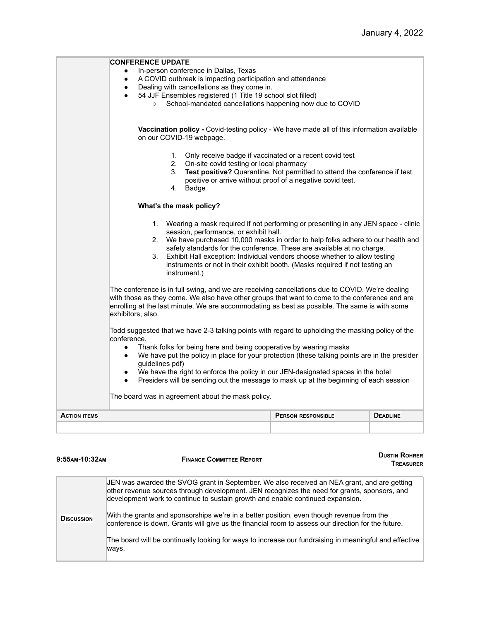|                     | <b>CONFERENCE UPDATE</b>                                                                                                                                                                                                                                                                                                                                                                                                                                                                                          |                           |                 |  |  |
|---------------------|-------------------------------------------------------------------------------------------------------------------------------------------------------------------------------------------------------------------------------------------------------------------------------------------------------------------------------------------------------------------------------------------------------------------------------------------------------------------------------------------------------------------|---------------------------|-----------------|--|--|
|                     | In-person conference in Dallas, Texas                                                                                                                                                                                                                                                                                                                                                                                                                                                                             |                           |                 |  |  |
|                     | A COVID outbreak is impacting participation and attendance<br>$\bullet$<br>Dealing with cancellations as they come in.<br>$\bullet$                                                                                                                                                                                                                                                                                                                                                                               |                           |                 |  |  |
|                     | 54 JJF Ensembles registered (1 Title 19 school slot filled)                                                                                                                                                                                                                                                                                                                                                                                                                                                       |                           |                 |  |  |
|                     | School-mandated cancellations happening now due to COVID<br>$\circ$                                                                                                                                                                                                                                                                                                                                                                                                                                               |                           |                 |  |  |
|                     |                                                                                                                                                                                                                                                                                                                                                                                                                                                                                                                   |                           |                 |  |  |
|                     | Vaccination policy - Covid-testing policy - We have made all of this information available<br>on our COVID-19 webpage.                                                                                                                                                                                                                                                                                                                                                                                            |                           |                 |  |  |
|                     | 1. Only receive badge if vaccinated or a recent covid test<br>2.<br>On-site covid testing or local pharmacy<br>Test positive? Quarantine. Not permitted to attend the conference if test<br>3.<br>positive or arrive without proof of a negative covid test.                                                                                                                                                                                                                                                      |                           |                 |  |  |
|                     | Badge<br>4.                                                                                                                                                                                                                                                                                                                                                                                                                                                                                                       |                           |                 |  |  |
|                     | What's the mask policy?                                                                                                                                                                                                                                                                                                                                                                                                                                                                                           |                           |                 |  |  |
|                     | 1. Wearing a mask required if not performing or presenting in any JEN space - clinic<br>session, performance, or exhibit hall.<br>We have purchased 10,000 masks in order to help folks adhere to our health and<br>2.<br>safety standards for the conference. These are available at no charge.<br>Exhibit Hall exception: Individual vendors choose whether to allow testing<br>3.<br>instruments or not in their exhibit booth. (Masks required if not testing an<br>instrument.)                              |                           |                 |  |  |
|                     | The conference is in full swing, and we are receiving cancellations due to COVID. We're dealing<br>with those as they come. We also have other groups that want to come to the conference and are<br>enrolling at the last minute. We are accommodating as best as possible. The same is with some<br>exhibitors, also.                                                                                                                                                                                           |                           |                 |  |  |
|                     | Todd suggested that we have 2-3 talking points with regard to upholding the masking policy of the<br>conference.<br>Thank folks for being here and being cooperative by wearing masks<br>$\bullet$<br>We have put the policy in place for your protection (these talking points are in the presider<br>$\bullet$<br>guidelines pdf)<br>We have the right to enforce the policy in our JEN-designated spaces in the hotel<br>Presiders will be sending out the message to mask up at the beginning of each session |                           |                 |  |  |
|                     | The board was in agreement about the mask policy.                                                                                                                                                                                                                                                                                                                                                                                                                                                                 |                           |                 |  |  |
| <b>ACTION ITEMS</b> |                                                                                                                                                                                                                                                                                                                                                                                                                                                                                                                   | <b>PERSON RESPONSIBLE</b> | <b>DEADLINE</b> |  |  |
|                     |                                                                                                                                                                                                                                                                                                                                                                                                                                                                                                                   |                           |                 |  |  |
|                     |                                                                                                                                                                                                                                                                                                                                                                                                                                                                                                                   |                           |                 |  |  |

| 9:55AM-10:32AM    | <b>DUSTIN ROHRER</b><br><b>FINANCE COMMITTEE REPORT</b><br><b>TREASURER</b>                                                                                                                                                                                                                                                                                                                                                                                                                                                                                                                         |  |
|-------------------|-----------------------------------------------------------------------------------------------------------------------------------------------------------------------------------------------------------------------------------------------------------------------------------------------------------------------------------------------------------------------------------------------------------------------------------------------------------------------------------------------------------------------------------------------------------------------------------------------------|--|
| <b>DISCUSSION</b> | JEN was awarded the SVOG grant in September. We also received an NEA grant, and are getting<br>other revenue sources through development. JEN recognizes the need for grants, sponsors, and<br>development work to continue to sustain growth and enable continued expansion.<br>With the grants and sponsorships we're in a better position, even though revenue from the<br>conference is down. Grants will give us the financial room to assess our direction for the future.<br>The board will be continually looking for ways to increase our fundraising in meaningful and effective<br>ways. |  |
|                   |                                                                                                                                                                                                                                                                                                                                                                                                                                                                                                                                                                                                     |  |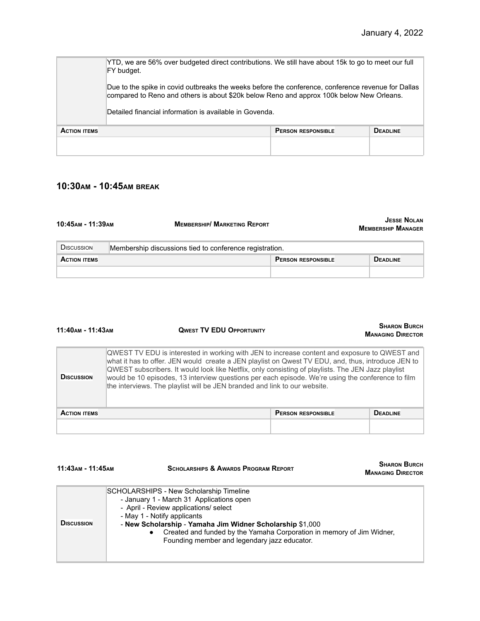**SHARON BURCH**

**SHARON BURCH MANAGING DIRECTOR**

|                     | YTD, we are 56% over budgeted direct contributions. We still have about 15k to go to meet our full<br>FY budget.                                                                                                                                          |                           |                 |  |
|---------------------|-----------------------------------------------------------------------------------------------------------------------------------------------------------------------------------------------------------------------------------------------------------|---------------------------|-----------------|--|
|                     | Due to the spike in covid outbreaks the weeks before the conference, conference revenue for Dallas<br>compared to Reno and others is about \$20k below Reno and approx 100k below New Orleans.<br>Detailed financial information is available in Govenda. |                           |                 |  |
| <b>ACTION ITEMS</b> |                                                                                                                                                                                                                                                           | <b>PERSON RESPONSIBLE</b> | <b>DEADLINE</b> |  |
|                     |                                                                                                                                                                                                                                                           |                           |                 |  |

# **10:30AM - 10:45AM BREAK**

**11:40AM - 11:43AM QWEST TV EDU OPPORTUNITY**

**11:43AM - 11:45AM SCHOLARSHIPS & AWARDS PROGRAM REPORT**

| 10:45 лм - 11:39 лм | <b>MEMBERSHIP/ MARKETING REPORT</b>                     |                           | <b>JESSE NOLAN</b><br><b>MEMBERSHIP MANAGER</b> |
|---------------------|---------------------------------------------------------|---------------------------|-------------------------------------------------|
| <b>DISCUSSION</b>   | Membership discussions tied to conference registration. |                           |                                                 |
| <b>ACTION ITEMS</b> |                                                         | <b>PERSON RESPONSIBLE</b> | <b>DEADLINE</b>                                 |
|                     |                                                         |                           |                                                 |

| 11:40AM - 11:43AM   | <b>UWEST IV EDU OPPORTUNITY</b>                                                                                                                                                                                                                                                                                                                                                                                                                                                              |                           | <b>MANAGING DIRECTOR</b> |
|---------------------|----------------------------------------------------------------------------------------------------------------------------------------------------------------------------------------------------------------------------------------------------------------------------------------------------------------------------------------------------------------------------------------------------------------------------------------------------------------------------------------------|---------------------------|--------------------------|
| <b>DISCUSSION</b>   | QWEST TV EDU is interested in working with JEN to increase content and exposure to QWEST and<br>what it has to offer. JEN would create a JEN playlist on Qwest TV EDU, and, thus, introduce JEN to<br>$QWEST$ subscribers. It would look like Netflix, only consisting of playlists. The JEN Jazz playlist<br>would be 10 episodes, 13 interview questions per each episode. We're using the conference to film<br>the interviews. The playlist will be JEN branded and link to our website. |                           |                          |
| <b>ACTION ITEMS</b> |                                                                                                                                                                                                                                                                                                                                                                                                                                                                                              | <b>PERSON RESPONSIBLE</b> | <b>DEADLINE</b>          |
|                     |                                                                                                                                                                                                                                                                                                                                                                                                                                                                                              |                           |                          |

| <b>DISCUSSION</b> | SCHOLARSHIPS - New Scholarship Timeline<br>- January 1 - March 31 Applications open<br>- April - Review applications/ select<br>- May 1 - Notify applicants<br>- New Scholarship - Yamaha Jim Widner Scholarship \$1,000<br>Created and funded by the Yamaha Corporation in memory of Jim Widner,<br>$\bullet$<br>Founding member and legendary jazz educator. |
|-------------------|----------------------------------------------------------------------------------------------------------------------------------------------------------------------------------------------------------------------------------------------------------------------------------------------------------------------------------------------------------------|
|                   |                                                                                                                                                                                                                                                                                                                                                                |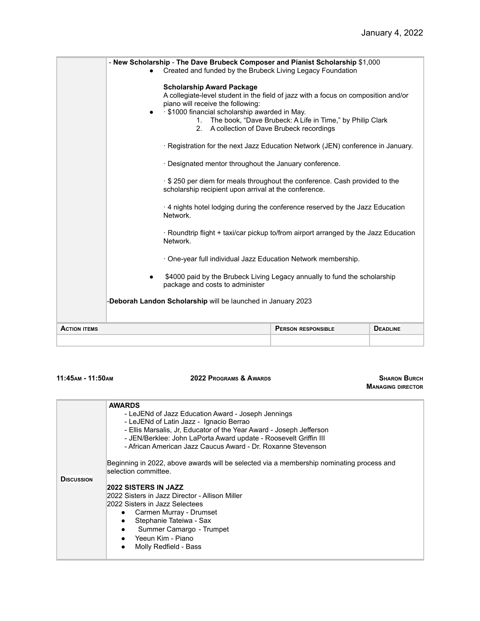|                     | - New Scholarship - The Dave Brubeck Composer and Pianist Scholarship \$1,000<br>Created and funded by the Brubeck Living Legacy Foundation                                                                                                                                                                                                                                                                                 |                                                                                                                                                                                                    |  |  |  |
|---------------------|-----------------------------------------------------------------------------------------------------------------------------------------------------------------------------------------------------------------------------------------------------------------------------------------------------------------------------------------------------------------------------------------------------------------------------|----------------------------------------------------------------------------------------------------------------------------------------------------------------------------------------------------|--|--|--|
|                     | <b>Scholarship Award Package</b><br>A collegiate-level student in the field of jazz with a focus on composition and/or<br>piano will receive the following:<br>· \$1000 financial scholarship awarded in May.<br>$\bullet$<br>1. The book, "Dave Brubeck: A Life in Time," by Philip Clark<br>2. A collection of Dave Brubeck recordings<br>· Registration for the next Jazz Education Network (JEN) conference in January. |                                                                                                                                                                                                    |  |  |  |
|                     |                                                                                                                                                                                                                                                                                                                                                                                                                             |                                                                                                                                                                                                    |  |  |  |
|                     |                                                                                                                                                                                                                                                                                                                                                                                                                             | Designated mentor throughout the January conference.                                                                                                                                               |  |  |  |
|                     |                                                                                                                                                                                                                                                                                                                                                                                                                             | \$250 per diem for meals throughout the conference. Cash provided to the<br>scholarship recipient upon arrival at the conference.                                                                  |  |  |  |
|                     |                                                                                                                                                                                                                                                                                                                                                                                                                             | $\cdot$ 4 nights hotel lodging during the conference reserved by the Jazz Education<br>Network.<br>· Roundtrip flight + taxi/car pickup to/from airport arranged by the Jazz Education<br>Network. |  |  |  |
|                     |                                                                                                                                                                                                                                                                                                                                                                                                                             |                                                                                                                                                                                                    |  |  |  |
|                     | · One-year full individual Jazz Education Network membership.                                                                                                                                                                                                                                                                                                                                                               |                                                                                                                                                                                                    |  |  |  |
|                     | \$4000 paid by the Brubeck Living Legacy annually to fund the scholarship<br>package and costs to administer                                                                                                                                                                                                                                                                                                                |                                                                                                                                                                                                    |  |  |  |
|                     | -Deborah Landon Scholarship will be launched in January 2023                                                                                                                                                                                                                                                                                                                                                                |                                                                                                                                                                                                    |  |  |  |
| <b>ACTION ITEMS</b> | <b>PERSON RESPONSIBLE</b><br><b>DEADLINE</b>                                                                                                                                                                                                                                                                                                                                                                                |                                                                                                                                                                                                    |  |  |  |
|                     |                                                                                                                                                                                                                                                                                                                                                                                                                             |                                                                                                                                                                                                    |  |  |  |

| 11:45ам - 11:50ам |  |
|-------------------|--|
|-------------------|--|

### **11:45AM - 11:50AM 2022 PROGRAMS & AWARDS SHARON BURCH**

**MANAGING DIRECTOR**

|                   | <b>AWARDS</b>                                                                            |  |  |  |  |
|-------------------|------------------------------------------------------------------------------------------|--|--|--|--|
|                   | - LeJENd of Jazz Education Award - Joseph Jennings                                       |  |  |  |  |
|                   | - LeJENd of Latin Jazz - Ignacio Berrao                                                  |  |  |  |  |
|                   | - Ellis Marsalis, Jr, Educator of the Year Award - Joseph Jefferson                      |  |  |  |  |
|                   | - JEN/Berklee: John LaPorta Award update - Roosevelt Griffin III                         |  |  |  |  |
|                   | - African American Jazz Caucus Award - Dr. Roxanne Stevenson                             |  |  |  |  |
|                   |                                                                                          |  |  |  |  |
|                   | Beginning in 2022, above awards will be selected via a membership nominating process and |  |  |  |  |
|                   | selection committee.                                                                     |  |  |  |  |
| <b>DISCUSSION</b> |                                                                                          |  |  |  |  |
|                   | 2022 SISTERS IN JAZZ                                                                     |  |  |  |  |
|                   | 2022 Sisters in Jazz Director - Allison Miller                                           |  |  |  |  |
|                   | 2022 Sisters in Jazz Selectees                                                           |  |  |  |  |
|                   | • Carmen Murray - Drumset                                                                |  |  |  |  |
|                   | Stephanie Tateiwa - Sax<br>٠                                                             |  |  |  |  |
|                   | Summer Camargo - Trumpet<br>$\bullet$                                                    |  |  |  |  |
|                   | $\bullet$ Yeeun Kim - Piano                                                              |  |  |  |  |
|                   | Molly Redfield - Bass<br>$\bullet$                                                       |  |  |  |  |
|                   |                                                                                          |  |  |  |  |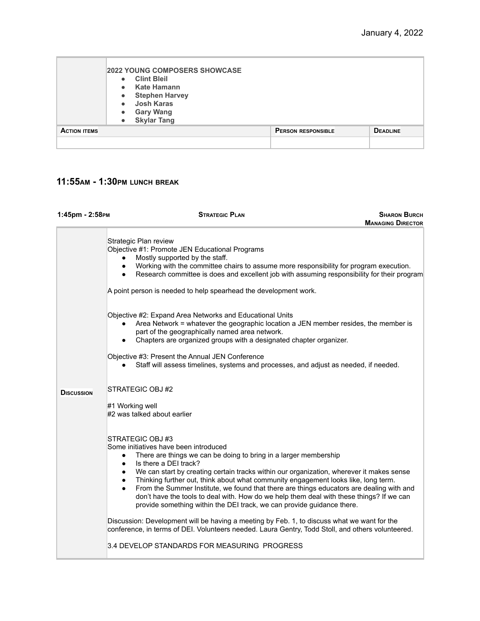|                     | <b>2022 YOUNG COMPOSERS SHOWCASE</b><br><b>Clint Bleil</b><br>$\bullet$<br><b>Kate Hamann</b><br>$\bullet$<br><b>Stephen Harvey</b><br>$\bullet$<br><b>Josh Karas</b><br>$\bullet$<br><b>Gary Wang</b><br>$\bullet$<br><b>Skylar Tang</b><br>$\bullet$ |                           |                 |
|---------------------|--------------------------------------------------------------------------------------------------------------------------------------------------------------------------------------------------------------------------------------------------------|---------------------------|-----------------|
| <b>ACTION ITEMS</b> |                                                                                                                                                                                                                                                        | <b>PERSON RESPONSIBLE</b> | <b>DEADLINE</b> |
|                     |                                                                                                                                                                                                                                                        |                           |                 |

### **11:55AM - 1:30PM LUNCH BREAK**

| 1:45рт - 2:58рм   | <b>STRATEGIC PLAN</b>                                                                                                                                                                                                                                                                                                                                                                                                                                                                                                                                                                                                                                          | <b>SHARON BURCH</b>      |
|-------------------|----------------------------------------------------------------------------------------------------------------------------------------------------------------------------------------------------------------------------------------------------------------------------------------------------------------------------------------------------------------------------------------------------------------------------------------------------------------------------------------------------------------------------------------------------------------------------------------------------------------------------------------------------------------|--------------------------|
|                   |                                                                                                                                                                                                                                                                                                                                                                                                                                                                                                                                                                                                                                                                | <b>MANAGING DIRECTOR</b> |
|                   | Strategic Plan review<br>Objective #1: Promote JEN Educational Programs<br>Mostly supported by the staff.<br>Working with the committee chairs to assume more responsibility for program execution.<br>$\bullet$<br>Research committee is does and excellent job with assuming responsibility for their program<br>$\bullet$<br>A point person is needed to help spearhead the development work.                                                                                                                                                                                                                                                               |                          |
|                   | Objective #2: Expand Area Networks and Educational Units<br>Area Network = whatever the geographic location a JEN member resides, the member is<br>part of the geographically named area network.<br>Chapters are organized groups with a designated chapter organizer.<br>$\bullet$<br>Objective #3: Present the Annual JEN Conference<br>Staff will assess timelines, systems and processes, and adjust as needed, if needed.                                                                                                                                                                                                                                |                          |
| <b>DISCUSSION</b> | STRATEGIC OBJ #2<br>#1 Working well<br>#2 was talked about earlier                                                                                                                                                                                                                                                                                                                                                                                                                                                                                                                                                                                             |                          |
|                   | STRATEGIC OBJ #3<br>Some initiatives have been introduced<br>There are things we can be doing to bring in a larger membership<br>$\bullet$<br>Is there a DEI track?<br>$\bullet$<br>We can start by creating certain tracks within our organization, wherever it makes sense<br>Thinking further out, think about what community engagement looks like, long term.<br>$\bullet$<br>From the Summer Institute, we found that there are things educators are dealing with and<br>$\bullet$<br>don't have the tools to deal with. How do we help them deal with these things? If we can<br>provide something within the DEI track, we can provide guidance there. |                          |
|                   | Discussion: Development will be having a meeting by Feb. 1, to discuss what we want for the<br>conference, in terms of DEI. Volunteers needed. Laura Gentry, Todd Stoll, and others volunteered.<br>3.4 DEVELOP STANDARDS FOR MEASURING PROGRESS                                                                                                                                                                                                                                                                                                                                                                                                               |                          |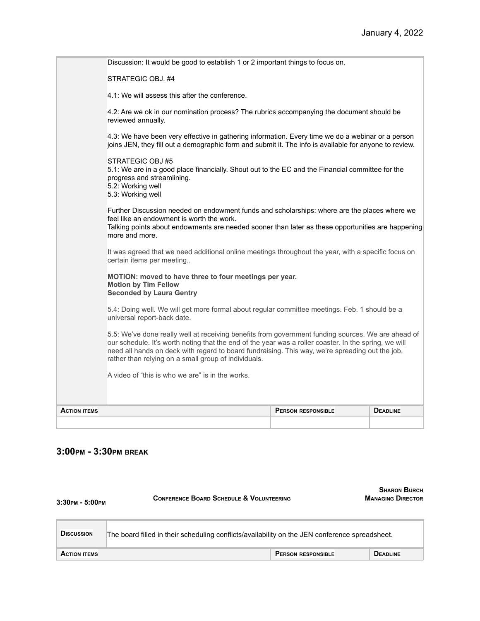| <b>ACTION ITEMS</b> |                                                                                                                                                                                                                                                                  | <b>PERSON RESPONSIBLE</b> | <b>DEADLINE</b> |  |
|---------------------|------------------------------------------------------------------------------------------------------------------------------------------------------------------------------------------------------------------------------------------------------------------|---------------------------|-----------------|--|
|                     | A video of "this is who we are" is in the works.                                                                                                                                                                                                                 |                           |                 |  |
|                     | our schedule. It's worth noting that the end of the year was a roller coaster. In the spring, we will<br>need all hands on deck with regard to board fundraising. This way, we're spreading out the job,<br>rather than relying on a small group of individuals. |                           |                 |  |
|                     | 5.5: We've done really well at receiving benefits from government funding sources. We are ahead of                                                                                                                                                               |                           |                 |  |
|                     | 5.4: Doing well. We will get more formal about regular committee meetings. Feb. 1 should be a<br>universal report-back date.                                                                                                                                     |                           |                 |  |
|                     | MOTION: moved to have three to four meetings per year.<br><b>Motion by Tim Fellow</b><br><b>Seconded by Laura Gentry</b>                                                                                                                                         |                           |                 |  |
|                     | It was agreed that we need additional online meetings throughout the year, with a specific focus on<br>certain items per meeting                                                                                                                                 |                           |                 |  |
|                     | Further Discussion needed on endowment funds and scholarships: where are the places where we<br>feel like an endowment is worth the work.<br>Talking points about endowments are needed sooner than later as these opportunities are happening<br>more and more. |                           |                 |  |
|                     | STRATEGIC OBJ #5<br>5.1: We are in a good place financially. Shout out to the EC and the Financial committee for the<br>progress and streamlining.<br>5.2: Working well<br>5.3: Working well                                                                     |                           |                 |  |
|                     | 4.3: We have been very effective in gathering information. Every time we do a webinar or a person<br>joins JEN, they fill out a demographic form and submit it. The info is available for anyone to review.                                                      |                           |                 |  |
|                     | 4.2: Are we ok in our nomination process? The rubrics accompanying the document should be<br>reviewed annually.                                                                                                                                                  |                           |                 |  |
|                     | 4.1: We will assess this after the conference.                                                                                                                                                                                                                   |                           |                 |  |
|                     | STRATEGIC OBJ. #4                                                                                                                                                                                                                                                |                           |                 |  |
|                     | Discussion: It would be good to establish 1 or 2 important things to focus on.                                                                                                                                                                                   |                           |                 |  |

# **3:00PM - 3:30PM BREAK**

| 3:30рм - 5:00рм     | <b>CONFERENCE BOARD SCHEDULE &amp; VOLUNTEERING</b>                                            | <b>SHARON BURCH</b><br><b>MANAGING DIRECTOR</b> |
|---------------------|------------------------------------------------------------------------------------------------|-------------------------------------------------|
| <b>DISCUSSION</b>   | The board filled in their scheduling conflicts/availability on the JEN conference spreadsheet. |                                                 |
| <b>ACTION ITEMS</b> | <b>PERSON RESPONSIBLE</b>                                                                      | <b>DEADLINE</b>                                 |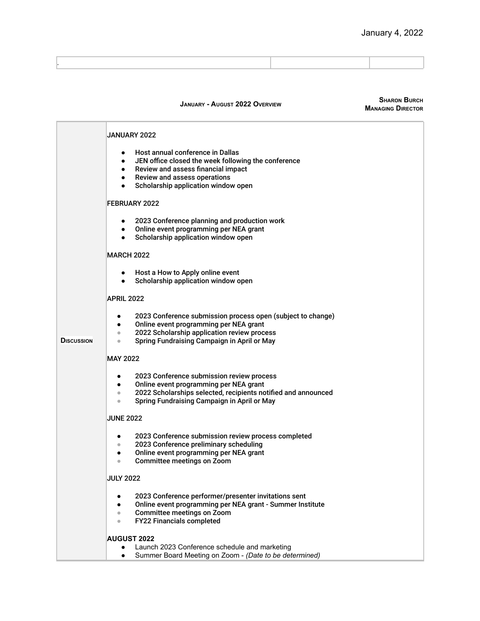**SHARON BURCH**

|                   | <b>JANUARY - AUGUST 2022 OVERVIEW</b>                                                                                                                                                                                                           | <b>SHARON BURCH</b><br><b>MANAGING DIRECTOR</b> |
|-------------------|-------------------------------------------------------------------------------------------------------------------------------------------------------------------------------------------------------------------------------------------------|-------------------------------------------------|
|                   | JANUARY 2022                                                                                                                                                                                                                                    |                                                 |
|                   | Host annual conference in Dallas<br>JEN office closed the week following the conference<br>Review and assess financial impact<br>Review and assess operations<br>Scholarship application window open<br>$\bullet$                               |                                                 |
|                   | <b>FEBRUARY 2022</b>                                                                                                                                                                                                                            |                                                 |
|                   | 2023 Conference planning and production work<br>٠<br>Online event programming per NEA grant<br>٠<br>Scholarship application window open<br>$\bullet$                                                                                            |                                                 |
|                   | <b>MARCH 2022</b>                                                                                                                                                                                                                               |                                                 |
|                   | Host a How to Apply online event<br>Scholarship application window open<br>٠                                                                                                                                                                    |                                                 |
|                   | <b>APRIL 2022</b>                                                                                                                                                                                                                               |                                                 |
| <b>DISCUSSION</b> | 2023 Conference submission process open (subject to change)<br>$\bullet$<br>Online event programming per NEA grant<br>٠<br>2022 Scholarship application review process<br>$\bullet$<br>Spring Fundraising Campaign in April or May<br>$\bullet$ |                                                 |
|                   | <b>MAY 2022</b>                                                                                                                                                                                                                                 |                                                 |
|                   | 2023 Conference submission review process<br>Online event programming per NEA grant<br>$\bullet$<br>2022 Scholarships selected, recipients notified and announced<br>$\bullet$<br>Spring Fundraising Campaign in April or May<br>$\bullet$      |                                                 |
|                   | <b>JUNE 2022</b>                                                                                                                                                                                                                                |                                                 |
|                   | 2023 Conference submission review process completed<br>2023 Conference preliminary scheduling<br>$\bullet$<br>Online event programming per NEA grant<br><b>Committee meetings on Zoom</b><br>$\bullet$                                          |                                                 |
|                   | <b>JULY 2022</b>                                                                                                                                                                                                                                |                                                 |
|                   | 2023 Conference performer/presenter invitations sent<br>Online event programming per NEA grant - Summer Institute<br>٠<br><b>Committee meetings on Zoom</b><br>$\qquad \qquad \bullet$<br>FY22 Financials completed<br>$\bullet$                |                                                 |
|                   | <b>AUGUST 2022</b><br>Launch 2023 Conference schedule and marketing<br>Summer Board Meeting on Zoom - (Date to be determined)<br>$\bullet$                                                                                                      |                                                 |

.